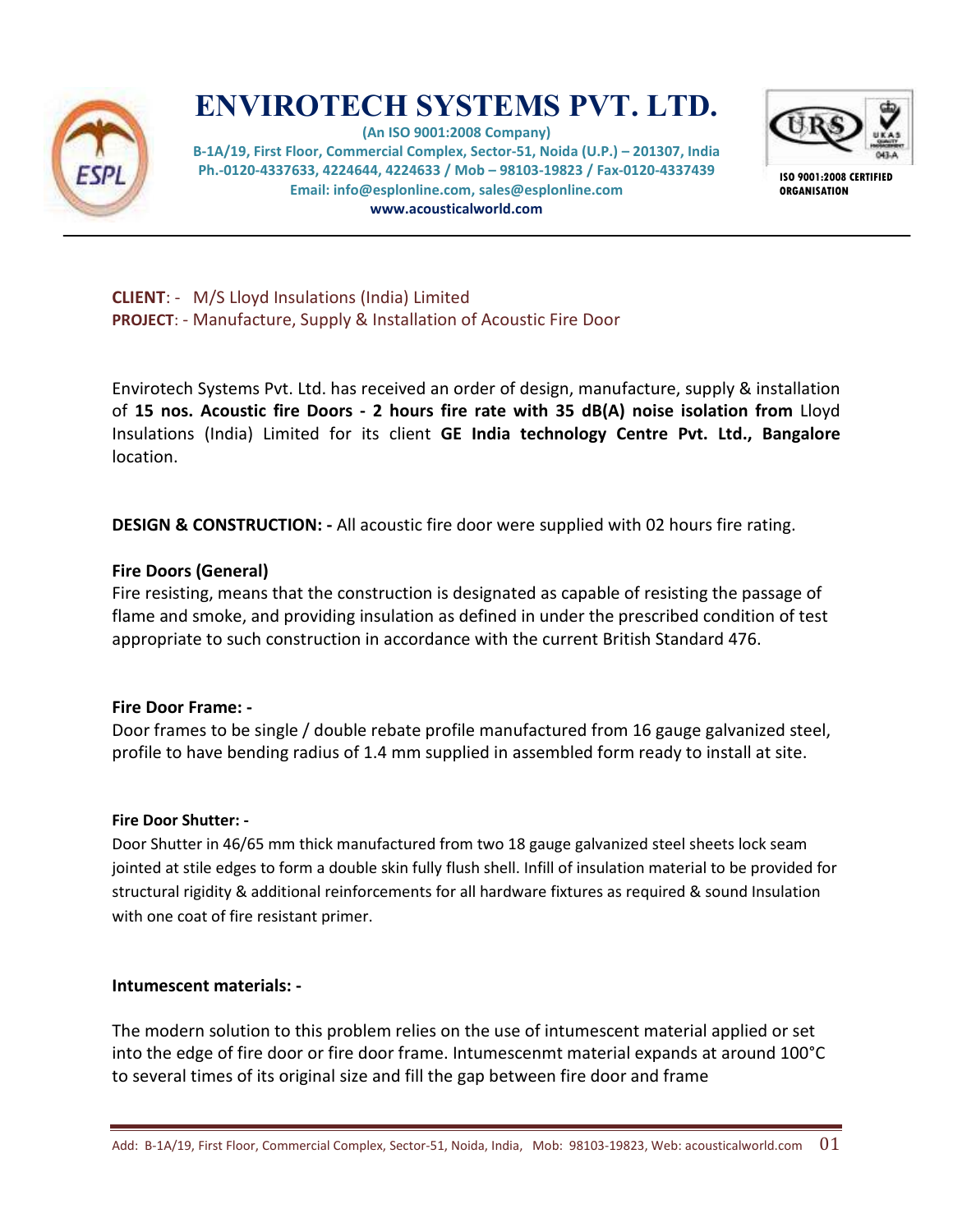

# **ENVIROTECH SYSTEMS PVT. LTD.**

**(An ISO 9001:2008 Company) B-1A/19, First Floor, Commercial Complex, Sector-51, Noida (U.P.) – 201307, India Ph.-0120-4337633, 4224644, 4224633 / Mob – 98103-19823 / Fax-0120-4337439 Email: info@esplonline.com, sales@esplonline.com www.acousticalworld.com** 



**ISO 9001:2008 CERTIFIED ORGANISATION** 

**CLIENT**: - M/S Lloyd Insulations (India) Limited **PROJECT**: - Manufacture, Supply & Installation of Acoustic Fire Door

Envirotech Systems Pvt. Ltd. has received an order of design, manufacture, supply & installation of **15 nos. Acoustic fire Doors - 2 hours fire rate with 35 dB(A) noise isolation from** Lloyd Insulations (India) Limited for its client **GE India technology Centre Pvt. Ltd., Bangalore** location.

**DESIGN & CONSTRUCTION: -** All acoustic fire door were supplied with 02 hours fire rating.

## **Fire Doors (General)**

Fire resisting, means that the construction is designated as capable of resisting the passage of flame and smoke, and providing insulation as defined in under the prescribed condition of test appropriate to such construction in accordance with the current British Standard 476.

## **Fire Door Frame: -**

Door frames to be single / double rebate profile manufactured from 16 gauge galvanized steel, profile to have bending radius of 1.4 mm supplied in assembled form ready to install at site.

## **Fire Door Shutter: -**

Door Shutter in 46/65 mm thick manufactured from two 18 gauge galvanized steel sheets lock seam jointed at stile edges to form a double skin fully flush shell. Infill of insulation material to be provided for structural rigidity & additional reinforcements for all hardware fixtures as required & sound Insulation with one coat of fire resistant primer.

## **Intumescent materials: -**

The modern solution to this problem relies on the use of intumescent material applied or set into the edge of fire door or fire door frame. Intumescenmt material expands at around 100°C to several times of its original size and fill the gap between fire door and frame